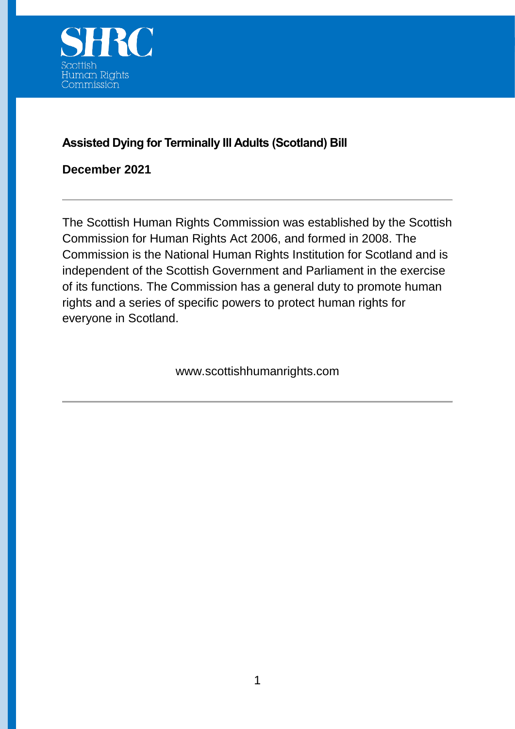

### **Assisted Dying for Terminally Ill Adults (Scotland) Bill**

**December 2021**

The Scottish Human Rights Commission was established by the Scottish Commission for Human Rights Act 2006, and formed in 2008. The Commission is the National Human Rights Institution for Scotland and is independent of the Scottish Government and Parliament in the exercise of its functions. The Commission has a general duty to promote human rights and a series of specific powers to protect human rights for everyone in Scotland.

www.scottishhumanrights.com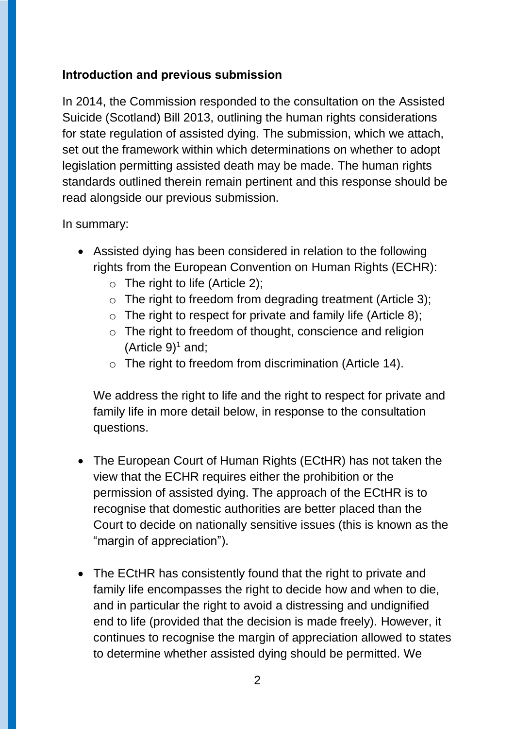### **Introduction and previous submission**

In 2014, the Commission responded to the consultation on the Assisted Suicide (Scotland) Bill 2013, outlining the human rights considerations for state regulation of assisted dying. The submission, which we attach, set out the framework within which determinations on whether to adopt legislation permitting assisted death may be made. The human rights standards outlined therein remain pertinent and this response should be read alongside our previous submission.

#### In summary:

- Assisted dying has been considered in relation to the following rights from the European Convention on Human Rights (ECHR):
	- $\circ$  The right to life (Article 2);
	- $\circ$  The right to freedom from degrading treatment (Article 3);
	- $\circ$  The right to respect for private and family life (Article 8);
	- o The right to freedom of thought, conscience and religion (Article  $9$ <sup>1</sup> and;
	- $\circ$  The right to freedom from discrimination (Article 14).

We address the right to life and the right to respect for private and family life in more detail below, in response to the consultation questions.

- The European Court of Human Rights (ECtHR) has not taken the view that the ECHR requires either the prohibition or the permission of assisted dying. The approach of the ECtHR is to recognise that domestic authorities are better placed than the Court to decide on nationally sensitive issues (this is known as the "margin of appreciation").
- The ECtHR has consistently found that the right to private and family life encompasses the right to decide how and when to die, and in particular the right to avoid a distressing and undignified end to life (provided that the decision is made freely). However, it continues to recognise the margin of appreciation allowed to states to determine whether assisted dying should be permitted. We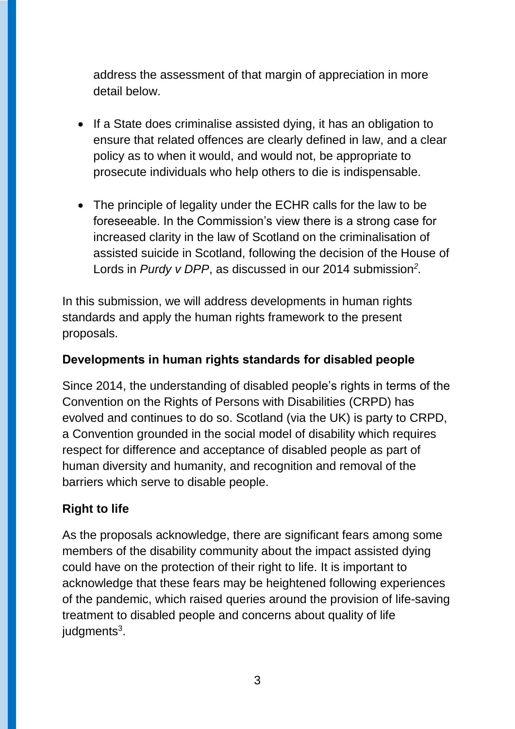address the assessment of that margin of appreciation in more detail below.

- If a State does criminalise assisted dying, it has an obligation to ensure that related offences are clearly defined in law, and a clear policy as to when it would, and would not, be appropriate to prosecute individuals who help others to die is indispensable.
- The principle of legality under the ECHR calls for the law to be foreseeable. In the Commission's view there is a strong case for increased clarity in the law of Scotland on the criminalisation of assisted suicide in Scotland, following the decision of the House of Lords in *Purdy v DPP*, as discussed in our 2014 submission*<sup>2</sup> .*

In this submission, we will address developments in human rights standards and apply the human rights framework to the present proposals.

#### **Developments in human rights standards for disabled people**

Since 2014, the understanding of disabled people's rights in terms of the Convention on the Rights of Persons with Disabilities (CRPD) has evolved and continues to do so. Scotland (via the UK) is party to CRPD, a Convention grounded in the social model of disability which requires respect for difference and acceptance of disabled people as part of human diversity and humanity, and recognition and removal of the barriers which serve to disable people.

### **Right to life**

As the proposals acknowledge, there are significant fears among some members of the disability community about the impact assisted dying could have on the protection of their right to life. It is important to acknowledge that these fears may be heightened following experiences of the pandemic, which raised queries around the provision of life-saving treatment to disabled people and concerns about quality of life judgments<sup>3</sup>.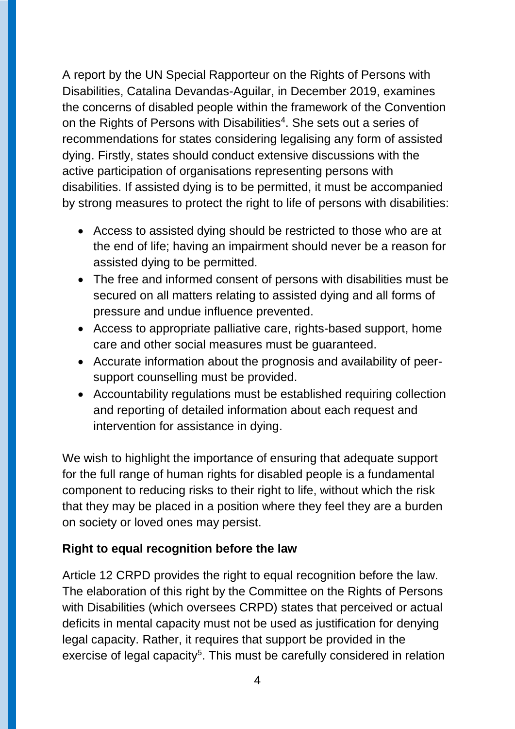A report by the UN Special Rapporteur on the Rights of Persons with Disabilities, Catalina Devandas-Aguilar, in December 2019, examines the concerns of disabled people within the framework of the Convention on the Rights of Persons with Disabilities<sup>4</sup>. She sets out a series of recommendations for states considering legalising any form of assisted dying. Firstly, states should conduct extensive discussions with the active participation of organisations representing persons with disabilities. If assisted dying is to be permitted, it must be accompanied by strong measures to protect the right to life of persons with disabilities:

- Access to assisted dying should be restricted to those who are at the end of life; having an impairment should never be a reason for assisted dying to be permitted.
- The free and informed consent of persons with disabilities must be secured on all matters relating to assisted dying and all forms of pressure and undue influence prevented.
- Access to appropriate palliative care, rights-based support, home care and other social measures must be guaranteed.
- Accurate information about the prognosis and availability of peersupport counselling must be provided.
- Accountability regulations must be established requiring collection and reporting of detailed information about each request and intervention for assistance in dying.

We wish to highlight the importance of ensuring that adequate support for the full range of human rights for disabled people is a fundamental component to reducing risks to their right to life, without which the risk that they may be placed in a position where they feel they are a burden on society or loved ones may persist.

## **Right to equal recognition before the law**

Article 12 CRPD provides the right to equal recognition before the law. The elaboration of this right by the Committee on the Rights of Persons with Disabilities (which oversees CRPD) states that perceived or actual deficits in mental capacity must not be used as justification for denying legal capacity. Rather, it requires that support be provided in the exercise of legal capacity<sup>5</sup>. This must be carefully considered in relation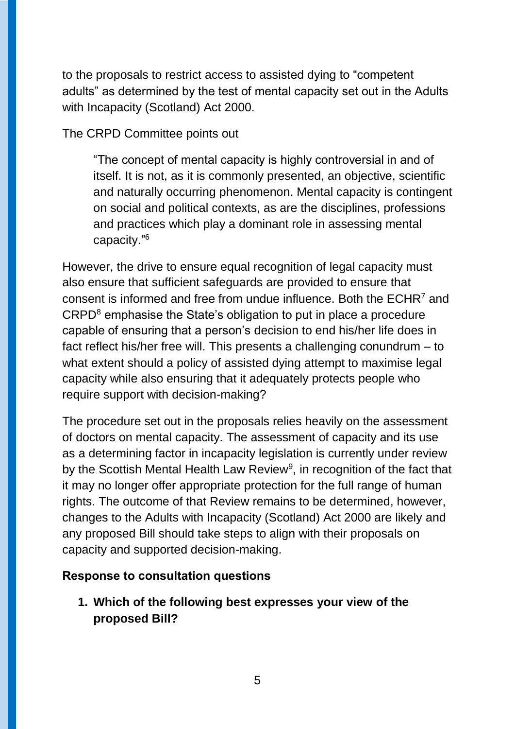to the proposals to restrict access to assisted dying to "competent adults" as determined by the test of mental capacity set out in the Adults with Incapacity (Scotland) Act 2000.

The CRPD Committee points out

"The concept of mental capacity is highly controversial in and of itself. It is not, as it is commonly presented, an objective, scientific and naturally occurring phenomenon. Mental capacity is contingent on social and political contexts, as are the disciplines, professions and practices which play a dominant role in assessing mental capacity."<sup>6</sup>

However, the drive to ensure equal recognition of legal capacity must also ensure that sufficient safeguards are provided to ensure that consent is informed and free from undue influence. Both the ECHR<sup>7</sup> and CRPD<sup>8</sup> emphasise the State's obligation to put in place a procedure capable of ensuring that a person's decision to end his/her life does in fact reflect his/her free will. This presents a challenging conundrum – to what extent should a policy of assisted dying attempt to maximise legal capacity while also ensuring that it adequately protects people who require support with decision-making?

The procedure set out in the proposals relies heavily on the assessment of doctors on mental capacity. The assessment of capacity and its use as a determining factor in incapacity legislation is currently under review by the Scottish Mental Health Law Review<sup>9</sup>, in recognition of the fact that it may no longer offer appropriate protection for the full range of human rights. The outcome of that Review remains to be determined, however, changes to the Adults with Incapacity (Scotland) Act 2000 are likely and any proposed Bill should take steps to align with their proposals on capacity and supported decision-making.

### **Response to consultation questions**

**1. Which of the following best expresses your view of the proposed Bill?**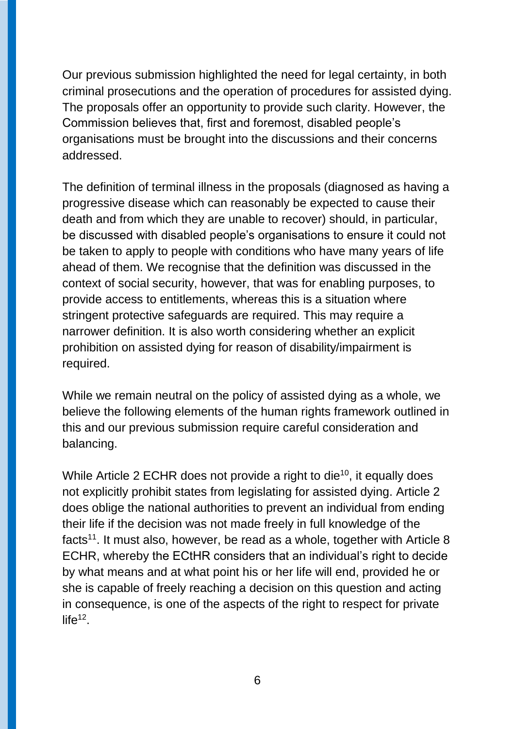Our previous submission highlighted the need for legal certainty, in both criminal prosecutions and the operation of procedures for assisted dying. The proposals offer an opportunity to provide such clarity. However, the Commission believes that, first and foremost, disabled people's organisations must be brought into the discussions and their concerns addressed.

The definition of terminal illness in the proposals (diagnosed as having a progressive disease which can reasonably be expected to cause their death and from which they are unable to recover) should, in particular, be discussed with disabled people's organisations to ensure it could not be taken to apply to people with conditions who have many years of life ahead of them. We recognise that the definition was discussed in the context of social security, however, that was for enabling purposes, to provide access to entitlements, whereas this is a situation where stringent protective safeguards are required. This may require a narrower definition. It is also worth considering whether an explicit prohibition on assisted dying for reason of disability/impairment is required.

While we remain neutral on the policy of assisted dying as a whole, we believe the following elements of the human rights framework outlined in this and our previous submission require careful consideration and balancing.

While Article 2 ECHR does not provide a right to die<sup>10</sup>, it equally does not explicitly prohibit states from legislating for assisted dying. Article 2 does oblige the national authorities to prevent an individual from ending their life if the decision was not made freely in full knowledge of the facts<sup>11</sup>. It must also, however, be read as a whole, together with Article 8 ECHR, whereby the ECtHR considers that an individual's right to decide by what means and at what point his or her life will end, provided he or she is capable of freely reaching a decision on this question and acting in consequence, is one of the aspects of the right to respect for private  $life^{12}$ .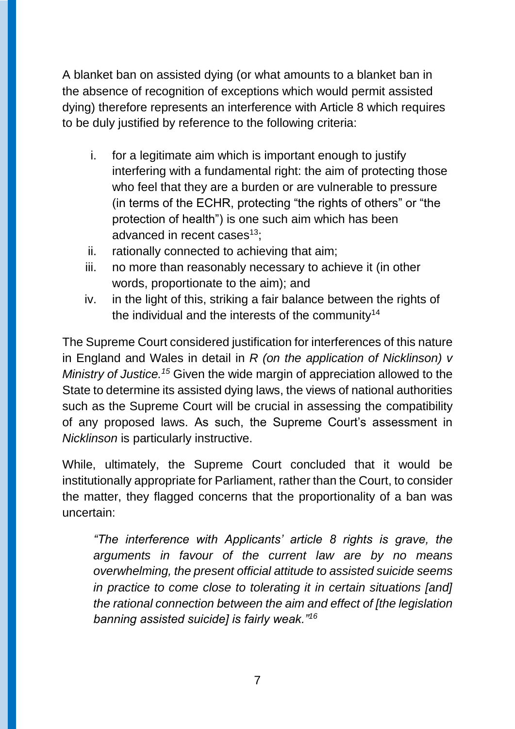A blanket ban on assisted dying (or what amounts to a blanket ban in the absence of recognition of exceptions which would permit assisted dying) therefore represents an interference with Article 8 which requires to be duly justified by reference to the following criteria:

- i. for a legitimate aim which is important enough to justify interfering with a fundamental right: the aim of protecting those who feel that they are a burden or are vulnerable to pressure (in terms of the ECHR, protecting "the rights of others" or "the protection of health") is one such aim which has been advanced in recent cases $13$ :
- ii. rationally connected to achieving that aim;
- iii. no more than reasonably necessary to achieve it (in other words, proportionate to the aim); and
- iv. in the light of this, striking a fair balance between the rights of the individual and the interests of the community<sup>14</sup>

The Supreme Court considered justification for interferences of this nature in England and Wales in detail in *R (on the application of Nicklinson) v Ministry of Justice. <sup>15</sup>* Given the wide margin of appreciation allowed to the State to determine its assisted dying laws, the views of national authorities such as the Supreme Court will be crucial in assessing the compatibility of any proposed laws. As such, the Supreme Court's assessment in *Nicklinson* is particularly instructive.

While, ultimately, the Supreme Court concluded that it would be institutionally appropriate for Parliament, rather than the Court, to consider the matter, they flagged concerns that the proportionality of a ban was uncertain:

*"The interference with Applicants' article 8 rights is grave, the arguments in favour of the current law are by no means overwhelming, the present official attitude to assisted suicide seems in practice to come close to tolerating it in certain situations [and] the rational connection between the aim and effect of [the legislation banning assisted suicide] is fairly weak."16*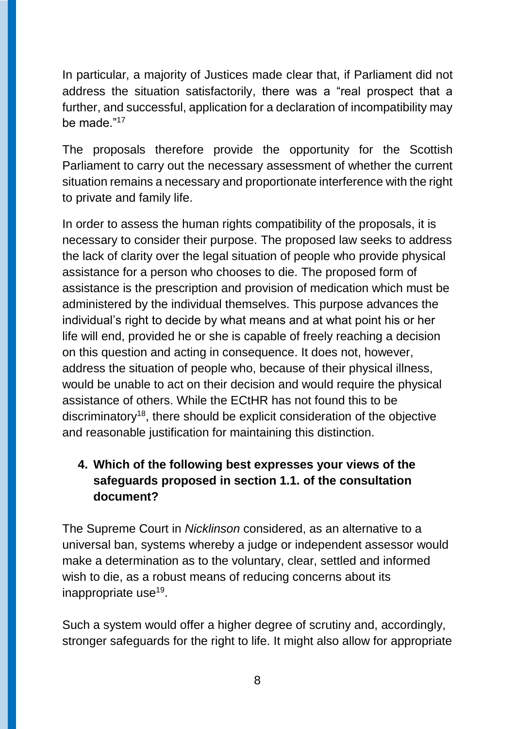In particular, a majority of Justices made clear that, if Parliament did not address the situation satisfactorily, there was a "real prospect that a further, and successful, application for a declaration of incompatibility may be made."<sup>17</sup>

The proposals therefore provide the opportunity for the Scottish Parliament to carry out the necessary assessment of whether the current situation remains a necessary and proportionate interference with the right to private and family life.

In order to assess the human rights compatibility of the proposals, it is necessary to consider their purpose. The proposed law seeks to address the lack of clarity over the legal situation of people who provide physical assistance for a person who chooses to die. The proposed form of assistance is the prescription and provision of medication which must be administered by the individual themselves. This purpose advances the individual's right to decide by what means and at what point his or her life will end, provided he or she is capable of freely reaching a decision on this question and acting in consequence. It does not, however, address the situation of people who, because of their physical illness, would be unable to act on their decision and would require the physical assistance of others. While the ECtHR has not found this to be discriminatory<sup>18</sup>, there should be explicit consideration of the objective and reasonable justification for maintaining this distinction.

# **4. Which of the following best expresses your views of the safeguards proposed in section 1.1. of the consultation document?**

The Supreme Court in *Nicklinson* considered, as an alternative to a universal ban, systems whereby a judge or independent assessor would make a determination as to the voluntary, clear, settled and informed wish to die, as a robust means of reducing concerns about its inappropriate use<sup>19</sup>.

Such a system would offer a higher degree of scrutiny and, accordingly, stronger safeguards for the right to life. It might also allow for appropriate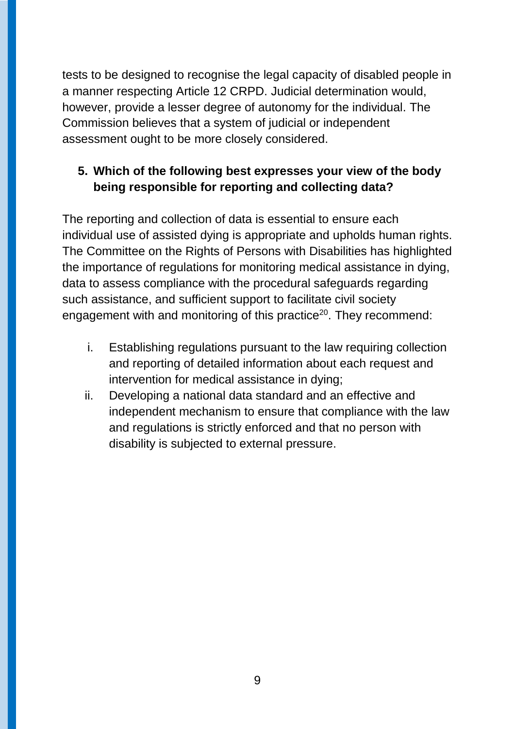tests to be designed to recognise the legal capacity of disabled people in a manner respecting Article 12 CRPD. Judicial determination would, however, provide a lesser degree of autonomy for the individual. The Commission believes that a system of judicial or independent assessment ought to be more closely considered.

# **5. Which of the following best expresses your view of the body being responsible for reporting and collecting data?**

The reporting and collection of data is essential to ensure each individual use of assisted dying is appropriate and upholds human rights. The Committee on the Rights of Persons with Disabilities has highlighted the importance of regulations for monitoring medical assistance in dying, data to assess compliance with the procedural safeguards regarding such assistance, and sufficient support to facilitate civil society engagement with and monitoring of this practice<sup>20</sup>. They recommend:

- i. Establishing regulations pursuant to the law requiring collection and reporting of detailed information about each request and intervention for medical assistance in dying;
- ii. Developing a national data standard and an effective and independent mechanism to ensure that compliance with the law and regulations is strictly enforced and that no person with disability is subjected to external pressure.